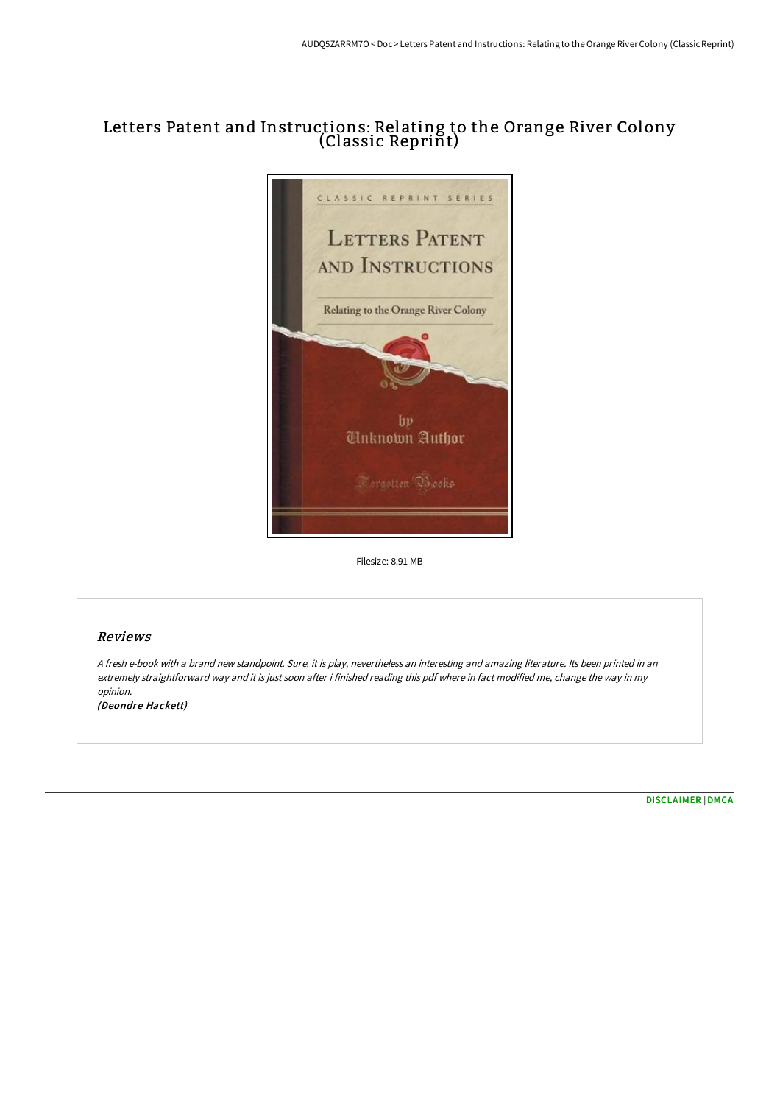# Letters Patent and Instructions: Relating to the Orange River Colony (Classic Reprint)



Filesize: 8.91 MB

## Reviews

<sup>A</sup> fresh e-book with <sup>a</sup> brand new standpoint. Sure, it is play, nevertheless an interesting and amazing literature. Its been printed in an extremely straightforward way and it is just soon after i finished reading this pdf where in fact modified me, change the way in my opinion.

(Deondre Hackett)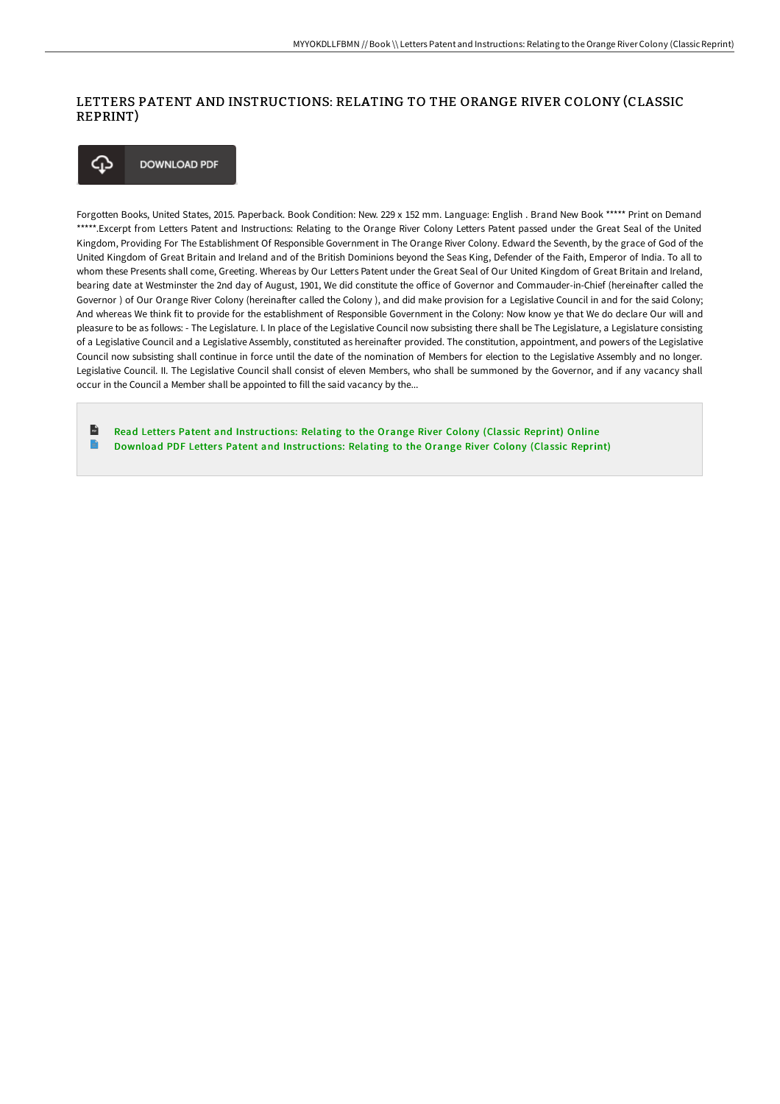### LETTERS PATENT AND INSTRUCTIONS: RELATING TO THE ORANGE RIVER COLONY (CLASSIC REPRINT)



Forgotten Books, United States, 2015. Paperback. Book Condition: New. 229 x 152 mm. Language: English . Brand New Book \*\*\*\*\* Print on Demand \*\*\*\*\*.Excerpt from Letters Patent and Instructions: Relating to the Orange River Colony Letters Patent passed under the Great Seal of the United Kingdom, Providing For The Establishment Of Responsible Government in The Orange River Colony. Edward the Seventh, by the grace of God of the United Kingdom of Great Britain and Ireland and of the British Dominions beyond the Seas King, Defender of the Faith, Emperor of India. To all to whom these Presents shall come, Greeting. Whereas by Our Letters Patent under the Great Seal of Our United Kingdom of Great Britain and Ireland, bearing date at Westminster the 2nd day of August, 1901, We did constitute the office of Governor and Commauder-in-Chief (hereinafter called the Governor ) of Our Orange River Colony (hereinaFer called the Colony ), and did make provision for a Legislative Council in and for the said Colony; And whereas We think fit to provide for the establishment of Responsible Government in the Colony: Now know ye that We do declare Our will and pleasure to be as follows: - The Legislature. I. In place of the Legislative Council now subsisting there shall be The Legislature, a Legislature consisting of a Legislative Council and a Legislative Assembly, constituted as hereinaFer provided. The constitution, appointment, and powers of the Legislative Council now subsisting shall continue in force until the date of the nomination of Members for election to the Legislative Assembly and no longer. Legislative Council. II. The Legislative Council shall consist of eleven Members, who shall be summoned by the Governor, and if any vacancy shall occur in the Council a Member shall be appointed to fill the said vacancy by the...

 $\mathbf{r}$ Read Letters Patent and [Instructions:](http://digilib.live/letters-patent-and-instructions-relating-to-the-.html) Relating to the Orange River Colony (Classic Reprint) Online E Download PDF Letters Patent and [Instructions:](http://digilib.live/letters-patent-and-instructions-relating-to-the-.html) Relating to the Orange River Colony (Classic Reprint)